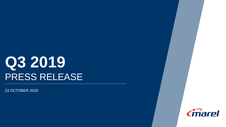# **Q3 2019** PRESS RELEASE

23 OCTOBER 2019

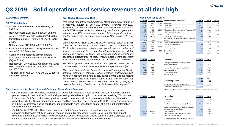

## **Q3 2019 – Solid operations and service revenues at all-time high**

### **EXECUTIVE SUMMARY Árni Oddur Thórdarson, CEO**

### **Q3 2019 Highlights**

- Orders received were EUR 285.0m (3Q18: 267.7m).
- Revenues were EUR 312.5m (3Q18: 282.0m).
- Adjusted EBIT\* was EUR 44.3m (3Q18: 40.0m), translating to an EBIT\* margin of 14.2% (3Q18: 14.2%).
- Net result was EUR 33.4m (3Q18: 26.7m).
- Basic earnings per share (EPS) were EUR 4.38 cents (3Q18: 3.94 cents).
- Cash flow from operating activities before interest and tax in the quarter was EUR 47.7m (3Q18: 31.6m).
- Net debt/EBITDA was x0.5 at quarter-end (2Q19: x0.6). Targeted capital structure is x2-3 net debt/EBITDA.
- The order book was EUR 431.9m (2Q19 459.4m and 3Q18: 510.8m).

*"We report yet another solid quarter for Marel with high revenues for a seasonal quarter, at EUR 313 million. Revenues and EBIT increased by 11% compared with the same quarter last year with a stable EBIT margin at 14.2%. Recurring service and spare parts revenues are 37% of total revenues, an all-time high. Cash flow is healthy and earnings per share increased by 11% compared to prior year.*

*Orders received were EUR 285 million, slightly below what we aimed for, but an increase of 7% compared with the third quarter of 2018. With pioneering solutions and global reach in sales and services, we manage to navigate through a challenging period that global food providers are facing due to various trade constraints and geopolitical uncertainties. In those circumstances orders can easily fluctuate quarter on quarter, both for our customers and ourselves.*

*We drive growth with innovation and global reach that is complemented by acquisitions as well as strategic partnerships.*

*The acquisition of Cedar Creek Company will strengthen Marel's software offering in Oceania. While strategic partnerships with TOMRA Food will bring new sensor-based sorting and processing technologies to optimize value, reduce waste and increase food safety. Finally, we are excited to join forces with Curio, bringing us closer to becoming a full-line provider in the global fish segment."*

### **Subsequent events: Acquisitions of Curio and Cedar Creek Company**

- On 22 October 2019, Marel has entered into an agreement to acquire a 50% stake in Curio, an innovative primary processing equipment provider for whitefish processing. Marel has an option to acquire the remaining 50% of shares in four years. Curio's complementary product portfolio brings Marel closer to becoming a full-line provider to the global fish industry. Curio is domiciled in Iceland and has annual revenues of around EUR 10 million. The transaction is subject to customary closing conditions, and expected to close in the fourth quarter of 2019. Further information available on marel.com/curio
- On 23 October 2019, Marel has agreed to acquire Cedar Creek Company, an Australian provider of specialized software and hardware solutions to meat, seafood and poultry processors. Cedar Creek Company has annual revenues of around EUR 3 million. The transaction is subject to customary closing conditions and is expected to be completed in the fourth quarter of 2019. Further information available on marel.com/cedarcreek

### **KEY FIGURES** (EUR m)

| 3Q19  | 3Q18  | Change | As per financial statements                      | 9M19  | 9M18  | Change   |
|-------|-------|--------|--------------------------------------------------|-------|-------|----------|
| 312.5 | 282.0 | 10.8%  | Revenues                                         | 963.6 | 867.1 | 11.1%    |
| 119.5 | 110.7 | 7.9%   | Gross profit                                     | 375.1 | 337.2 | 11.2%    |
| 38.2% | 39.3% |        | Gross profit as a % of revenues                  | 38.9% | 38.9% |          |
| 44.3  | 40.0  | 10.8%  | Adjusted result from operations (Adjusted EBIT)  | 141.4 | 127.0 | 11.3%    |
| 14.2% | 14.2% |        | EBIT* as a % of revenues                         | 14.7% | 14.6% |          |
| 56.4  | 50.0  | 12.8%  | <b>EBITDA</b>                                    | 176.6 | 159.1 | 11.0%    |
| 18.0% | 17.7% |        | EBITDA as a % of revenues                        | 18.3% | 18.3% |          |
|       |       |        | Amortization of acquisition-related (in)tangible |       |       |          |
| (2.7) | (2.4) |        | assets                                           | (8.0) | (7.0) |          |
| 41.6  | 37.6  | 10.6%  | Result from operations (EBIT)                    | 133.4 | 120.0 | 11.2%    |
| 13.3% | 13.3% |        | EBIT as a % of revenues                          | 13.8% | 13.8% |          |
| 33.4  | 26.7  | 25.1%  | Net result                                       | 99.9  | 84.5  | 18.2%    |
| 10.7% | 9.5%  |        | Net result as a % of revenues                    | 10.4% | 9.7%  |          |
| 285.0 | 267.7 | 6.5%   | Orders Received                                  | 919.5 | 888.1 | 3.5%     |
|       |       |        | Order Book                                       | 431.9 | 510.8 | $-15.4%$ |

| 3Q19          | <b>3Q18</b>    | Cash flows                                                         |                | 9M18            |
|---------------|----------------|--------------------------------------------------------------------|----------------|-----------------|
| 47.7          | 31.6           | Cash generated from operating activities,<br>before interest & tax | 129.6          | 143.6           |
| 34.6<br>(7.2) | 23.8<br>(45.1) | Net cash from (to) operating activities<br>Investing activities    | 89.1<br>(27.8) | 113.7<br>(68.9) |
| (11.9)        | 29.8           | Financing activities                                               | 173.4          | (42.3)          |
| 15.5          | 8.5            | Net cash flow                                                      | 234.7          | 2.5             |

| <b>Financial position</b>                 | 30/09<br>2019 | 31/12<br>2018 |  |
|-------------------------------------------|---------------|---------------|--|
| Net Debt (Including Lease liabilities)    | 112.9         | 431.6         |  |
| Operational working capital <sup>1)</sup> | 76.0          | 27.7          |  |

<sup>1)</sup> Trade receivables, Inventories, net Contract assets & Contract liabilities, Trade payables.

| 3Q19  | 3Q18  | Key ratios                                    | 9M <sub>19</sub> | 9M <sub>18</sub> |
|-------|-------|-----------------------------------------------|------------------|------------------|
|       |       | Current ratio                                 | 1.6              | 0.9              |
|       |       | Quick ratio                                   | 1.2              | 0.6              |
|       |       | Number of outstanding shares (millions)       | 759.9            | 674.8            |
|       |       | Market capitalization in EUR billion based on |                  |                  |
|       |       | exchange rate at end of period                | 3.2              | 2.2              |
| 14.4% | 20.0% | Return on equity                              | 17.7%            | 21.0%            |
| 4.38  | 3.94  | Basic earnings per share in EUR cents         | 14.19            | 12.34            |
|       |       | Leverage adjusted result <sup>2)</sup>        | 0.5              | 2.1              |
|       |       |                                               |                  |                  |

<sup>2)</sup> Net Debt (Including Lease liabilities) / LTM EBITDA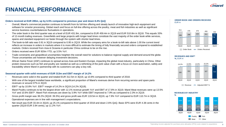## **FINANCIAL PERFORMANCE**

### **Orders received at EUR 285m, up by 6.5% compared to previous year and down 8.4% QoQ**

- Overall, Marel's commercial position continues to benefit from its full-line offering and steady launch of innovative high-tech equipment and software for smarter processing. Global reach and focus on full-line offering across the poultry, meat and fish industries as well as significant service business counterbalances fluctuations in operations.
- The order book in the third quarter was at a level of EUR 431.9m, compared to EUR 459.4m in 2Q19 and EUR 510.8m in 3Q18. This equals 33% of 12-month trailing revenues. Greenfields and large projects with longer lead times constitute the vast majority of the order book while services, spares and standard equipment run faster through the system with shorter lead times.
- The book-to-bill ratio was 0.91 in 3Q19 compared to 0.95 in 2Q19. While the company aims for a book-to-bill ratio above 1.00 the current trend reflects an increase in orders in markets where it is more difficult to estimate the timing of fully financially secured orders compared to established markets. Orders received from Asia & Oceania in particular China continue to be on the rise.
- Orders received were EUR 920m YTD, up 3.5% YoY.
- Trade constraints and geopolitical uncertainties heighten the overall need for solutions to balance regional supply and demand around the globe. Those uncertainties are however delaying investment decisions.
- African Swine Fever (ASF) continues to spread across Asia and Eastern Europe, impacting the global meat industry, particularly in China. Other protein resources such as fish and poultry are needed as well as a rethinking of the pork value chain with a focus on more automation, safety and traceability where Marel in partnership with its customers can play a key role.

### **Seasonal quarter with solid revenues of EUR 313m and EBIT margin of 14.2%**

- Revenues were solid in the quarter and totaled EUR 312.5m in 3Q19, up 10.8% compared to third quarter of 2018.
- With one of the largest installed base worldwide, a significant proportion of Marel's revenues derive from recurring service and spare parts revenues or around 37% in 3Q19.
- EBIT\* up by 10.8% YoY. EBIT\* margin of 14.2% in 3Q19 (14.2% 3Q18).
- Marel Poultry continues to be the largest driver with 12.1% revenue growth YoY and EBIT of 17.8% in 3Q19. Marel Meat revenues were up 13.5% YoY and 10.6% EBIT\*. Marel Fish revenues are down by 3.9% YoY while EBIT improved to 7.9% as compared to 2.3% in 2Q19.
- Gross profit margin was 38.2% (3Q18: 39.3%) and gross profit was EUR 119.5m in 3Q19, up 7.9% YoY compared to EUR 110.7m in 3Q18. Operational expenses are in line with management´s expectations.
- Net result was EUR 33.4m in 3Q19, up 25.1% compared to third quarter of 2018 and down 2.6% QoQ. Basic EPS were EUR 4.38 cents in the quarter (3Q18 EUR 3.94 cents), up 11.2% YoY.

**ORDER BOOK AND ORDERS RECEIVED** EUR m



### **REVENUES AND EBIT\* %,** EUR m



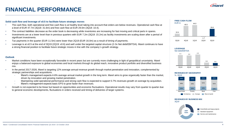## **FINANCIAL PERFORMANCE**

### **Solid cash flow and leverage of x0.5 to facilitate future strategic moves**

- The cash flow, both operational and free cash flow is at healthy level taking into account that orders are below revenues. Operational cash flow at a level of EUR 47.7m (3Q18: 31.6m) and free cash flow at EUR 29.0m (3Q18: 10.4).
- The contract liabilities decrease as the order book is decreasing while inventories are increasing for fast moving and critical parts in spares.
- Investments are at a lower level than in previous quarters with EUR 7.2m (3Q18: 15.2m) as facility investments are scaling down after a period of significant investments.
- Tax payments in the quarter (EUR 11.5m) were lower than 2Q19 (EUR 16.0m) as a result of timing of payments.
- Leverage is at x0.5 at the end of 3Q19 (2Q19: x0.6) and well under the targeted capital structure (2-3x Net debt/EBITDA). Marel continues to have a strong financial position to facilitate future strategic moves in line with the company´s growth strategy.

### **Outlook**

- Market conditions have been exceptionally favorable in recent years but are currently more challenging in light of geopolitical uncertainty. Marel enjoys a balanced exposure to global economies and local markets through its global reach, innovative product portfolio and diversified business mix.
- In the period 2017-2026, Marel is targeting 12% average annual revenue growth through market penetration and innovation, complemented by strategic partnerships and acquisitions.
	- Marel's management expects 4-6% average annual market growth in the long term. Marel aims to grow organically faster than the market, driven by innovation and growing market penetration.
	- Maintaining solid operational performance and strong cash flow is expected to support 5-7% revenues growth on average by acquisition.
	- Marel's management expects basic EPS to grow faster than revenues.
- Growth is not expected to be linear but based on opportunities and economic fluctuations. Operational results may vary from quarter to quarter due to general economic developments, fluctuations in orders received and timing of deliveries of larger systems.





**REVENUES BY BUSINESS MIX** 3Q19

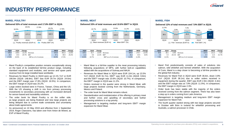## **INDUSTRY PERFORMANCE**

### **MAREL POULTRY MAREL MEAT MAREL FISH**



| 3Q19  | <b>3Q18</b> | Change |                         | 9M <sub>19</sub> | 9M18  | Change |
|-------|-------------|--------|-------------------------|------------------|-------|--------|
| 166.8 | 148.8       | 12.1%  | Revenues                | 523.3            | 461.0 | 13.5%  |
| 29.7  | 24.6        | 20.7%  | <b>FBIT</b>             | 97.1             | 80.8  | 20.2%  |
| 17.8% | 16.5%       |        | EBIT as a % of revenues | 18.6%            | 17.5% |        |

- Marel Poultry's competitive position remains exceptionally strong on the back of its established full-line product range, including standard equipment and modules, and service and spare parts revenue from its large installed base worldwide.
- Revenues for Marel Poultry in 3Q19 were up 12.1% YoY or EUR 166.8m (3Q18: 148.8m). EBIT was EUR 29.7m (3Q18: 24.6m) and the EBIT margin was 17.8% (3Q18: 16.5%). In comparison, the EBIT margin in 2Q19 was 20.2%.
- Large orders booked were in France, Taiwan, China and the US. With the US showing a shift in mix from primary processing investments to secondary processing with an increased demand for sensor-based and traceability solutions.
- The order book for Marel Poultry is on the softer side, as large projects are being finalized and new large projects are being delayed due to current trade constraints and uncertainty about trade agreements.
- As announced on 10 May 2019 and effective from 1 September 2019, Roger Claessens, has taken over from Anton de Weerd, as EVP of Marel Poultry.



| 3Q19  | <b>3Q18</b> | Change   |                          | 9M <sub>19</sub> | 9M18  | Change |
|-------|-------------|----------|--------------------------|------------------|-------|--------|
| 104.1 | 91.7        | 13.5%    | Revenues                 | 309.0            | 274.7 | 12.5%  |
| 11.0  | 9.8         | $12.2\%$ | <b>EBIT*</b>             | 35.4             | 32.6  | 8.6%   |
| 10.6% | 10.7%       |          | EBIT* as a % of revenues | 11.5%            | 11.9% |        |

- Marel Meat is a full-line supplier to the meat processing industry following acquisitions of MPS, with further bolt-on capabilities added with the acquisitions of Sulmaq and MAJA.
- Revenues for Marel Meat in 3Q19 were EUR 104.1m, up 13.5% YoY (3Q18: EUR 91.7m). EBIT\* was EUR 11.0m (3Q18: 9.8m) and the EBIT\* margin was 10.6% (3Q18: 10.7%). In comparison, the EBIT\* margin in 2Q19 was 11.2%.
- Orders received in the quarter were strong in Marel Meat, with large projects booked coming from the Netherlands, Germany, Mexico and Poland.
- The order book for Marel Meat remains robust.
- Standardization and modularization of the offering in primary meat and further cross and upselling of secondary and further processing solutions is a top priority.
- Management is targeting medium and long-term EBIT\* margin expansion for Marel Meat.



| 3Q19 | <b>3Q18</b> | Change   |                         | 9M <sub>19</sub> | 9M18  | Change   |
|------|-------------|----------|-------------------------|------------------|-------|----------|
| 36.6 | 38.1        | $-3.9%$  | Revenues                | 112.4            | 121.3 | $-7.3%$  |
| 2.9  | 4.4         | $-34.1%$ | <b>FBIT</b>             | 6.7              | 11.5  | $-41.7%$ |
| 7.9% | 11.5%       |          | EBIT as a % of revenues | 6.0%             | 9.5%  |          |

- Marel Fish predominantly consists of sales of solutions into salmon, wild whitefish and farmed whitefish. With the acquisition of Curio, Marel is a step closer to becoming a full-line provider to the global fish industry.
- Revenues for Marel Fish in 3Q19 were EUR 36.6m, down 3.9% YoY (3Q18: EUR 38.1m) due to softer orders received in equipment during the quarter. EBIT was EUR 2.9m (3Q18: 4.4m) and the EBIT margin was at 7.9% (3Q18: 11.5%). In comparison, the EBIT margin in 2Q19 was 2.3%.
- Order book has been stable with the majority of the orders received coming from the salmon segment. There has also been a step up in orders coming from Latin America.
- Management is targeting medium and long-term EBIT margin expansion for Marel Fish.
- The fourth quarter started strong with two large projects secured in October with Brim in Iceland for whitefish processing and Australis, a salmon processer in Chile.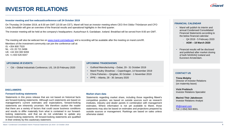## **INVESTOR RELATIONS**

### **Investor meeting and live webcast/conference call 24 October 2019**

On Thursday 24 October 2019, at 8:30 am GMT (10:30 am CET), Marel will host an investor meeting where CEO Árni Oddur Thórdarson and CFO Linda Jónsdóttir will give an overview of the financial results and operational highlights in the third quarter.

The investor meeting will be held at the company's headquarters: Austurhraun 9, Gardabaer, Iceland. Breakfast will be served from 8:00 am GMT.

The meeting will also be webcast live on [www.marel.com/webcast](http://www.marel.com/webcast) and a recording will be available after the meeting on marel.com/IR. Members of the investment community can join the conference call at: IS: +354 800 7520

NL: +31 20 721 9496 UK: +44 333 300 9269 US: +1 833 526 8347

• Citi – Global Industrials Conference, US, 19-20 February 2020 • Gulfood Manufacturing – Dubai, 29 - 31 October 2019

### **UPCOMING IR EVENTS UPCOMING TRADESHOWS**

- 
- Marel Poultry Showhow Copenhagen, 14 November 2019
- China Fisheries Qingdao, 30 October 1 November 2019
- IPPE Atlanta, 28 30 January 2020

### **DISCLAIMERS**

### **Forward-looking statements**

Statements in this press release that are not based on historical facts are forward-looking statements. Although such statements are based on management's current estimates and expectations, forward-looking statements are inherently uncertain. We therefore caution the reader that there are a variety of factors that could cause business conditions and results to differ materially from what is contained in our forwardlooking statements, and that we do not undertake to update any forward-looking statements. All forward-looking statements are qualified in their entirety by this cautionary statement.

### **Market share data**

Statements regarding market share, including those regarding Marel's competitive position, are based on outside sources such as research institutes, industry and dealer panels in combination with management estimates. Where information is not yet available to Marel, those statements may also be based on estimates and projections prepared by outside sources or management. Rankings are based on sales unless otherwise stated.

### **FINANCIAL CALENDAR**

- Marel will publish its interim and annual Condensed Consolidated Financial Statements according to the below financial calendar:
	- Q4 2019 5 February 2020
	- **AGM – 18 March 2020**
- Financial results will be disclosed and published after market closing of both NASDAQ Iceland and Euronext Amsterdam.

### **CONTACT US**

### **Tinna Molphy** Director of Investor Relations (on maternity leave)

**Vicki Preibisch** Investor Relations Specialist

**Marinó Thór Jakobsson** Investor Relations Analyst

[IR@marel.com](mailto:IR@marel.com) Tel: (+354) 563 8001.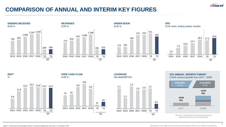

**7**

## **COMPARISON OF ANNUAL AND INTERIM KEY FIGURES**























2017 2026E

### Marel / Condensed Consolidated Interim Financial Statements Q3 2019 / 23 October 2019